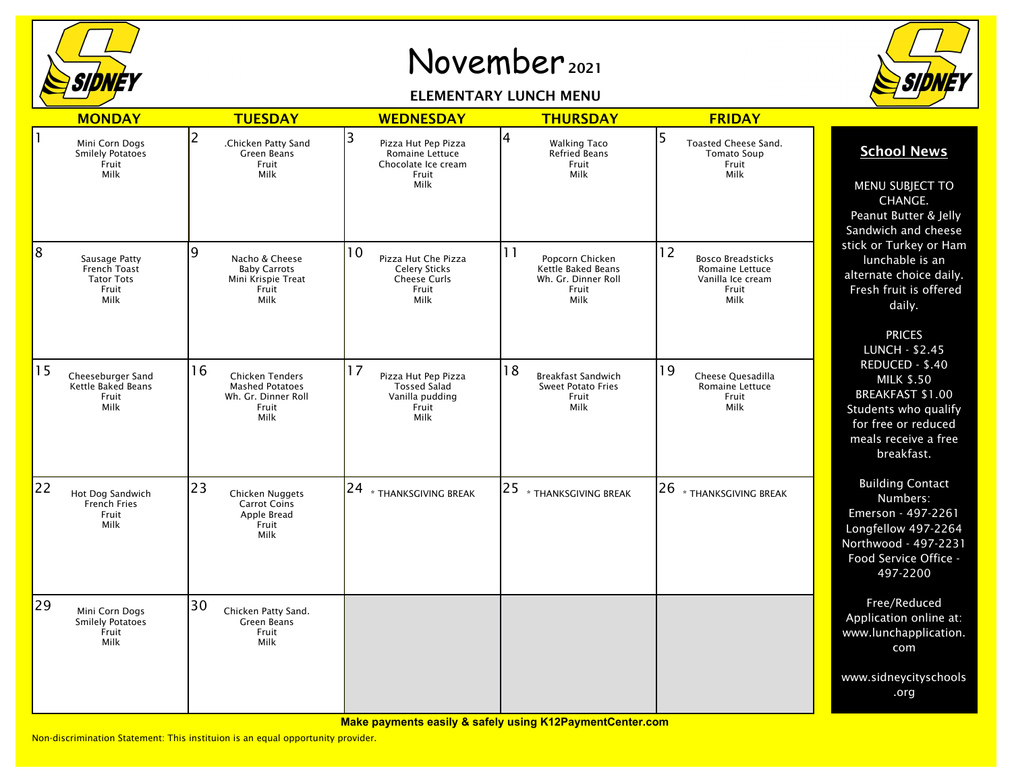

## November <sup>2021</sup>

## ELEMENTARY LUNCH MENU



|    | <b>MONDAY</b>                                                       | <b>TUESDAY</b>                                                                                 | <b>WEDNESDAY</b>                                                                          | <b>THURSDAY</b>                                                                            | <b>FRIDAY</b>                                                                           |                                                                                                                                                                                                                                                                                                                                                                                                                |
|----|---------------------------------------------------------------------|------------------------------------------------------------------------------------------------|-------------------------------------------------------------------------------------------|--------------------------------------------------------------------------------------------|-----------------------------------------------------------------------------------------|----------------------------------------------------------------------------------------------------------------------------------------------------------------------------------------------------------------------------------------------------------------------------------------------------------------------------------------------------------------------------------------------------------------|
|    | Mini Corn Dogs<br><b>Smilely Potatoes</b><br>Fruit<br>Milk          | 2<br>.Chicken Patty Sand<br>Green Beans<br>Fruit<br>Milk                                       | 3<br>Pizza Hut Pep Pizza<br>Romaine Lettuce<br>Chocolate Ice cream<br>Fruit<br>Milk       | 4<br><b>Walking Taco</b><br><b>Refried Beans</b><br>Fruit<br>Milk                          | 5<br>Toasted Cheese Sand.<br><b>Tomato Soup</b><br>Fruit<br>Milk                        | <b>School News</b><br>MENU SUBJECT TO<br>CHANGE.<br>Peanut Butter & Jelly<br>Sandwich and cheese<br>stick or Turkey or Ham<br>lunchable is an<br>alternate choice daily.<br>Fresh fruit is offered<br>daily.<br><b>PRICES</b><br><b>LUNCH - \$2.45</b><br>REDUCED - \$.40<br><b>MILK \$.50</b><br><b>BREAKFAST \$1.00</b><br>Students who qualify<br>for free or reduced<br>meals receive a free<br>breakfast. |
| 8  | Sausage Patty<br>French Toast<br><b>Tator Tots</b><br>Fruit<br>Milk | 9<br>Nacho & Cheese<br><b>Baby Carrots</b><br>Mini Krispie Treat<br>Fruit<br>Milk              | 10<br>Pizza Hut Che Pizza<br><b>Celery Sticks</b><br><b>Cheese Curls</b><br>Fruit<br>Milk | 11<br>Popcorn Chicken<br><b>Kettle Baked Beans</b><br>Wh. Gr. Dinner Roll<br>Fruit<br>Milk | 12<br><b>Bosco Breadsticks</b><br>Romaine Lettuce<br>Vanilla Ice cream<br>Fruit<br>Milk |                                                                                                                                                                                                                                                                                                                                                                                                                |
| 15 | Cheeseburger Sand<br><b>Kettle Baked Beans</b><br>Fruit<br>Milk     | 16<br><b>Chicken Tenders</b><br><b>Mashed Potatoes</b><br>Wh. Gr. Dinner Roll<br>Fruit<br>Milk | 17<br>Pizza Hut Pep Pizza<br><b>Tossed Salad</b><br>Vanilla pudding<br>Fruit<br>Milk      | 18<br><b>Breakfast Sandwich</b><br><b>Sweet Potato Fries</b><br>Fruit<br>Milk              | <sup>19</sup><br>Cheese Quesadilla<br><b>Romaine Lettuce</b><br>Fruit<br><b>Milk</b>    |                                                                                                                                                                                                                                                                                                                                                                                                                |
| 22 | Hot Dog Sandwich<br><b>French Fries</b><br>Fruit<br>Milk            | 23<br>Chicken Nuggets<br><b>Carrot Coins</b><br>Apple Bread<br>Fruit<br>Milk                   | $ 24 $ $\ast$ thanksgiving break                                                          | $25$ $*$ thanksgiving break                                                                | 26<br>* THANKSGIVING BREAK                                                              | <b>Building Contact</b><br>Numbers:<br>Emerson - 497-2261<br>Longfellow 497-2264<br>Northwood - 497-2231<br>Food Service Office -<br>497-2200                                                                                                                                                                                                                                                                  |
| 29 | Mini Corn Dogs<br>Smilely Potatoes<br>Fruit<br>Milk                 | 30<br>Chicken Patty Sand.<br>Green Beans<br>Fruit<br>Milk                                      |                                                                                           |                                                                                            |                                                                                         | Free/Reduced<br>Application online at:<br>www.lunchapplication.<br>com                                                                                                                                                                                                                                                                                                                                         |
|    |                                                                     |                                                                                                |                                                                                           |                                                                                            |                                                                                         | www.sidneycityschools<br>.org                                                                                                                                                                                                                                                                                                                                                                                  |

Non-discrimination Statement: This instituion is an equal opportunity provider.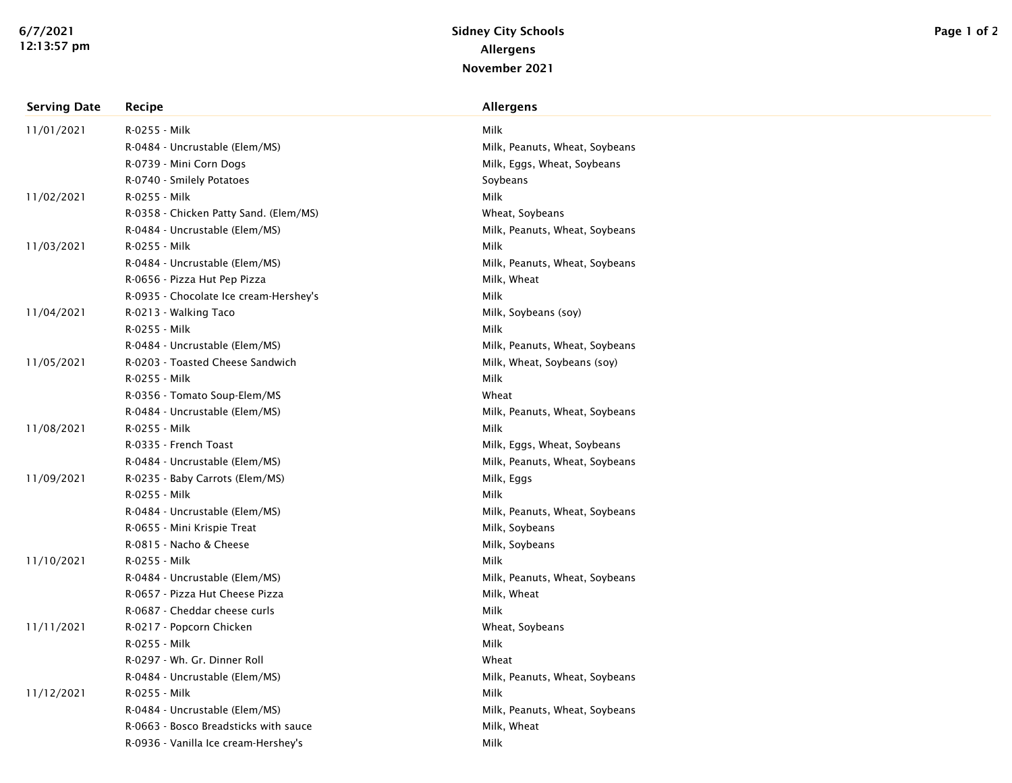| <b>Serving Date</b> | Recipe                                 | <b>Allergens</b>               |
|---------------------|----------------------------------------|--------------------------------|
| 11/01/2021          | R-0255 - Milk                          | Milk                           |
|                     | R-0484 - Uncrustable (Elem/MS)         | Milk, Peanuts, Wheat, Soybeans |
|                     | R-0739 - Mini Corn Dogs                | Milk, Eggs, Wheat, Soybeans    |
|                     | R-0740 - Smilely Potatoes              | Soybeans                       |
| 11/02/2021          | R-0255 - Milk                          | Milk                           |
|                     | R-0358 - Chicken Patty Sand. (Elem/MS) | Wheat, Soybeans                |
|                     | R-0484 - Uncrustable (Elem/MS)         | Milk, Peanuts, Wheat, Soybeans |
| 11/03/2021          | R-0255 - Milk                          | Milk                           |
|                     | R-0484 - Uncrustable (Elem/MS)         | Milk, Peanuts, Wheat, Soybeans |
|                     | R-0656 - Pizza Hut Pep Pizza           | Milk, Wheat                    |
|                     | R-0935 - Chocolate Ice cream-Hershey's | Milk                           |
| 11/04/2021          | R-0213 - Walking Taco                  | Milk, Soybeans (soy)           |
|                     | R-0255 - Milk                          | Milk                           |
|                     | R-0484 - Uncrustable (Elem/MS)         | Milk, Peanuts, Wheat, Soybeans |
| 11/05/2021          | R-0203 - Toasted Cheese Sandwich       | Milk, Wheat, Soybeans (soy)    |
|                     | R-0255 - Milk                          | Milk                           |
|                     | R-0356 - Tomato Soup-Elem/MS           | Wheat                          |
|                     | R-0484 - Uncrustable (Elem/MS)         | Milk, Peanuts, Wheat, Soybeans |
| 11/08/2021          | R-0255 - Milk                          | Milk                           |
|                     | R-0335 - French Toast                  | Milk, Eggs, Wheat, Soybeans    |
|                     | R-0484 - Uncrustable (Elem/MS)         | Milk, Peanuts, Wheat, Soybeans |
| 11/09/2021          | R-0235 - Baby Carrots (Elem/MS)        | Milk, Eggs                     |
|                     | R-0255 - Milk                          | Milk                           |
|                     | R-0484 - Uncrustable (Elem/MS)         | Milk, Peanuts, Wheat, Soybeans |
|                     | R-0655 - Mini Krispie Treat            | Milk, Soybeans                 |
|                     | R-0815 - Nacho & Cheese                | Milk, Soybeans                 |
| 11/10/2021          | R-0255 - Milk                          | Milk                           |
|                     | R-0484 - Uncrustable (Elem/MS)         | Milk, Peanuts, Wheat, Soybeans |
|                     | R-0657 - Pizza Hut Cheese Pizza        | Milk, Wheat                    |
|                     | R-0687 - Cheddar cheese curls          | Milk                           |
| 11/11/2021          | R-0217 - Popcorn Chicken               | Wheat, Soybeans                |
|                     | R-0255 - Milk                          | Milk                           |
|                     | R-0297 - Wh. Gr. Dinner Roll           | Wheat                          |
|                     | R-0484 - Uncrustable (Elem/MS)         | Milk, Peanuts, Wheat, Soybeans |
| 11/12/2021          | R-0255 - Milk                          | Milk                           |
|                     | R-0484 - Uncrustable (Elem/MS)         | Milk, Peanuts, Wheat, Soybeans |
|                     | R-0663 - Bosco Breadsticks with sauce  | Milk, Wheat                    |
|                     | R-0936 - Vanilla Ice cream-Hershey's   | Milk                           |
|                     |                                        |                                |